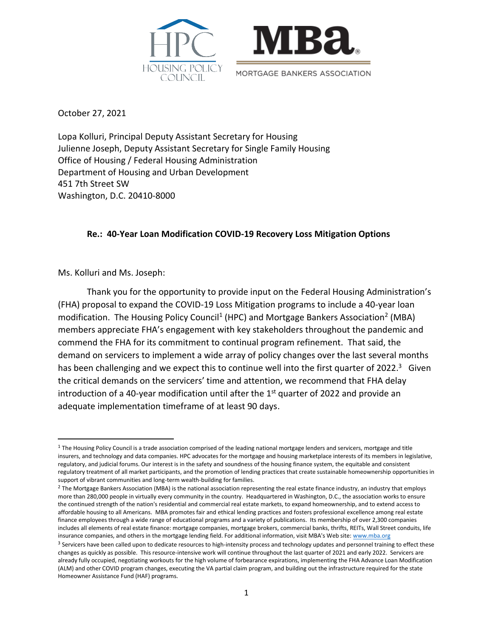



October 27, 2021

Lopa Kolluri, Principal Deputy Assistant Secretary for Housing Julienne Joseph, Deputy Assistant Secretary for Single Family Housing Office of Housing / Federal Housing Administration Department of Housing and Urban Development 451 7th Street SW Washington, D.C. 20410-8000

# **Re.: 40-Year Loan Modification COVID-19 Recovery Loss Mitigation Options**

Ms. Kolluri and Ms. Joseph:

Thank you for the opportunity to provide input on the Federal Housing Administration's (FHA) proposal to expand the COVID-19 Loss Mitigation programs to include a 40-year loan modification. The Housing Policy Council<sup>1</sup> (HPC) and Mortgage Bankers Association<sup>2</sup> (MBA) members appreciate FHA's engagement with key stakeholders throughout the pandemic and commend the FHA for its commitment to continual program refinement. That said, the demand on servicers to implement a wide array of policy changes over the last several months has been challenging and we expect this to continue well into the first quarter of 2022.<sup>3</sup> Given the critical demands on the servicers' time and attention, we recommend that FHA delay introduction of a 40-year modification until after the  $1<sup>st</sup>$  quarter of 2022 and provide an adequate implementation timeframe of at least 90 days.

 $1$  The Housing Policy Council is a trade association comprised of the leading national mortgage lenders and servicers, mortgage and title insurers, and technology and data companies. HPC advocates for the mortgage and housing marketplace interests of its members in legislative, regulatory, and judicial forums. Our interest is in the safety and soundness of the housing finance system, the equitable and consistent regulatory treatment of all market participants, and the promotion of lending practices that create sustainable homeownership opportunities in support of vibrant communities and long-term wealth-building for families.

<sup>&</sup>lt;sup>2</sup> The Mortgage Bankers Association (MBA) is the national association representing the real estate finance industry, an industry that employs more than 280,000 people in virtually every community in the country. Headquartered in Washington, D.C., the association works to ensure the continued strength of the nation's residential and commercial real estate markets, to expand homeownership, and to extend access to affordable housing to all Americans. MBA promotes fair and ethical lending practices and fosters professional excellence among real estate finance employees through a wide range of educational programs and a variety of publications. Its membership of over 2,300 companies includes all elements of real estate finance: mortgage companies, mortgage brokers, commercial banks, thrifts, REITs, Wall Street conduits, life insurance companies, and others in the mortgage lending field. For additional information, visit MBA's Web site[: www.mba.org](http://www.mba.org/)

<sup>&</sup>lt;sup>3</sup> Servicers have been called upon to dedicate resources to high-intensity process and technology updates and personnel training to effect these changes as quickly as possible. This resource-intensive work will continue throughout the last quarter of 2021 and early 2022. Servicers are already fully occupied, negotiating workouts for the high volume of forbearance expirations, implementing the FHA Advance Loan Modification (ALM) and other COVID program changes, executing the VA partial claim program, and building out the infrastructure required for the state Homeowner Assistance Fund (HAF) programs.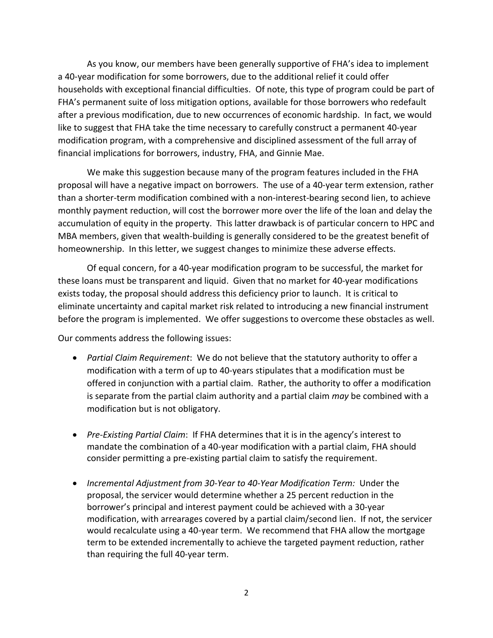As you know, our members have been generally supportive of FHA's idea to implement a 40-year modification for some borrowers, due to the additional relief it could offer households with exceptional financial difficulties. Of note, this type of program could be part of FHA's permanent suite of loss mitigation options, available for those borrowers who redefault after a previous modification, due to new occurrences of economic hardship. In fact, we would like to suggest that FHA take the time necessary to carefully construct a permanent 40-year modification program, with a comprehensive and disciplined assessment of the full array of financial implications for borrowers, industry, FHA, and Ginnie Mae.

We make this suggestion because many of the program features included in the FHA proposal will have a negative impact on borrowers. The use of a 40-year term extension, rather than a shorter-term modification combined with a non-interest-bearing second lien, to achieve monthly payment reduction, will cost the borrower more over the life of the loan and delay the accumulation of equity in the property. This latter drawback is of particular concern to HPC and MBA members, given that wealth-building is generally considered to be the greatest benefit of homeownership. In this letter, we suggest changes to minimize these adverse effects.

Of equal concern, for a 40-year modification program to be successful, the market for these loans must be transparent and liquid. Given that no market for 40-year modifications exists today, the proposal should address this deficiency prior to launch. It is critical to eliminate uncertainty and capital market risk related to introducing a new financial instrument before the program is implemented. We offer suggestions to overcome these obstacles as well.

Our comments address the following issues:

- *Partial Claim Requirement*: We do not believe that the statutory authority to offer a modification with a term of up to 40-years stipulates that a modification must be offered in conjunction with a partial claim. Rather, the authority to offer a modification is separate from the partial claim authority and a partial claim *may* be combined with a modification but is not obligatory.
- *Pre-Existing Partial Claim*: If FHA determines that it is in the agency's interest to mandate the combination of a 40-year modification with a partial claim, FHA should consider permitting a pre-existing partial claim to satisfy the requirement.
- *Incremental Adjustment from 30-Year to 40-Year Modification Term:* Under the proposal, the servicer would determine whether a 25 percent reduction in the borrower's principal and interest payment could be achieved with a 30-year modification, with arrearages covered by a partial claim/second lien. If not, the servicer would recalculate using a 40-year term. We recommend that FHA allow the mortgage term to be extended incrementally to achieve the targeted payment reduction, rather than requiring the full 40-year term.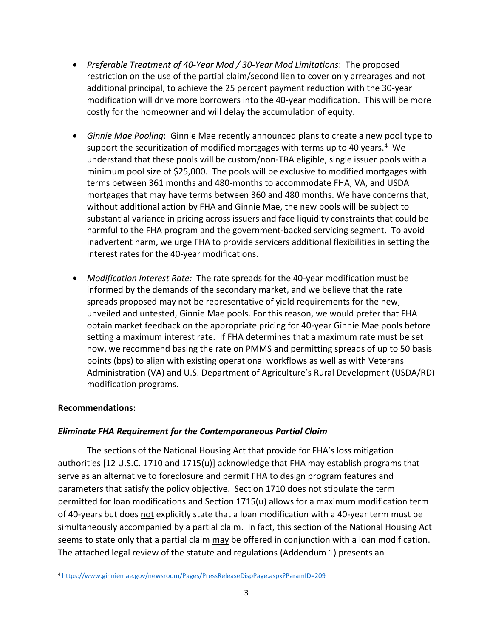- *Preferable Treatment of 40-Year Mod / 30-Year Mod Limitations*: The proposed restriction on the use of the partial claim/second lien to cover only arrearages and not additional principal, to achieve the 25 percent payment reduction with the 30-year modification will drive more borrowers into the 40-year modification. This will be more costly for the homeowner and will delay the accumulation of equity.
- *Ginnie Mae Pooling*: Ginnie Mae recently announced plans to create a new pool type to support the securitization of modified mortgages with terms up to 40 years.<sup>4</sup> We understand that these pools will be custom/non-TBA eligible, single issuer pools with a minimum pool size of \$25,000. The pools will be exclusive to modified mortgages with terms between 361 months and 480-months to accommodate FHA, VA, and USDA mortgages that may have terms between 360 and 480 months. We have concerns that, without additional action by FHA and Ginnie Mae, the new pools will be subject to substantial variance in pricing across issuers and face liquidity constraints that could be harmful to the FHA program and the government-backed servicing segment. To avoid inadvertent harm, we urge FHA to provide servicers additional flexibilities in setting the interest rates for the 40-year modifications.
- *Modification Interest Rate:* The rate spreads for the 40-year modification must be informed by the demands of the secondary market, and we believe that the rate spreads proposed may not be representative of yield requirements for the new, unveiled and untested, Ginnie Mae pools. For this reason, we would prefer that FHA obtain market feedback on the appropriate pricing for 40-year Ginnie Mae pools before setting a maximum interest rate. If FHA determines that a maximum rate must be set now, we recommend basing the rate on PMMS and permitting spreads of up to 50 basis points (bps) to align with existing operational workflows as well as with Veterans Administration (VA) and U.S. Department of Agriculture's Rural Development (USDA/RD) modification programs.

# **Recommendations:**

## *Eliminate FHA Requirement for the Contemporaneous Partial Claim*

The sections of the National Housing Act that provide for FHA's loss mitigation authorities [12 U.S.C. 1710 and 1715(u)] acknowledge that FHA may establish programs that serve as an alternative to foreclosure and permit FHA to design program features and parameters that satisfy the policy objective. Section 1710 does not stipulate the term permitted for loan modifications and Section 1715(u) allows for a maximum modification term of 40-years but does not explicitly state that a loan modification with a 40-year term must be simultaneously accompanied by a partial claim. In fact, this section of the National Housing Act seems to state only that a partial claim may be offered in conjunction with a loan modification. The attached legal review of the statute and regulations (Addendum 1) presents an

<sup>4</sup> <https://www.ginniemae.gov/newsroom/Pages/PressReleaseDispPage.aspx?ParamID=209>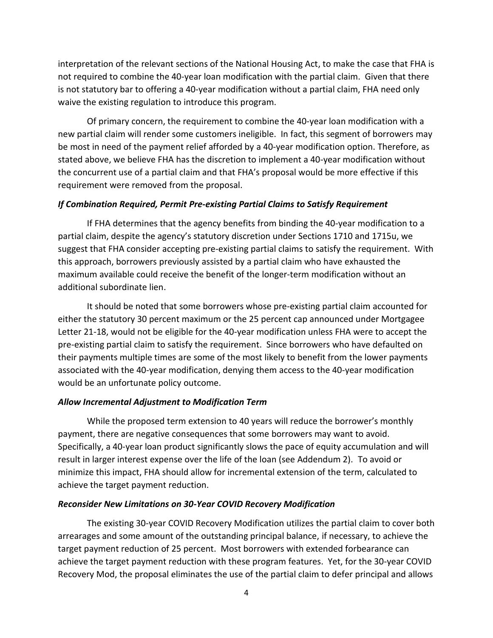interpretation of the relevant sections of the National Housing Act, to make the case that FHA is not required to combine the 40-year loan modification with the partial claim. Given that there is not statutory bar to offering a 40-year modification without a partial claim, FHA need only waive the existing regulation to introduce this program.

Of primary concern, the requirement to combine the 40-year loan modification with a new partial claim will render some customers ineligible. In fact, this segment of borrowers may be most in need of the payment relief afforded by a 40-year modification option. Therefore, as stated above, we believe FHA has the discretion to implement a 40-year modification without the concurrent use of a partial claim and that FHA's proposal would be more effective if this requirement were removed from the proposal.

### *If Combination Required, Permit Pre-existing Partial Claims to Satisfy Requirement*

If FHA determines that the agency benefits from binding the 40-year modification to a partial claim, despite the agency's statutory discretion under Sections 1710 and 1715u, we suggest that FHA consider accepting pre-existing partial claims to satisfy the requirement. With this approach, borrowers previously assisted by a partial claim who have exhausted the maximum available could receive the benefit of the longer-term modification without an additional subordinate lien.

It should be noted that some borrowers whose pre-existing partial claim accounted for either the statutory 30 percent maximum or the 25 percent cap announced under Mortgagee Letter 21-18, would not be eligible for the 40-year modification unless FHA were to accept the pre-existing partial claim to satisfy the requirement. Since borrowers who have defaulted on their payments multiple times are some of the most likely to benefit from the lower payments associated with the 40-year modification, denying them access to the 40-year modification would be an unfortunate policy outcome.

#### *Allow Incremental Adjustment to Modification Term*

While the proposed term extension to 40 years will reduce the borrower's monthly payment, there are negative consequences that some borrowers may want to avoid. Specifically, a 40-year loan product significantly slows the pace of equity accumulation and will result in larger interest expense over the life of the loan (see Addendum 2). To avoid or minimize this impact, FHA should allow for incremental extension of the term, calculated to achieve the target payment reduction.

#### *Reconsider New Limitations on 30-Year COVID Recovery Modification*

The existing 30-year COVID Recovery Modification utilizes the partial claim to cover both arrearages and some amount of the outstanding principal balance, if necessary, to achieve the target payment reduction of 25 percent. Most borrowers with extended forbearance can achieve the target payment reduction with these program features. Yet, for the 30-year COVID Recovery Mod, the proposal eliminates the use of the partial claim to defer principal and allows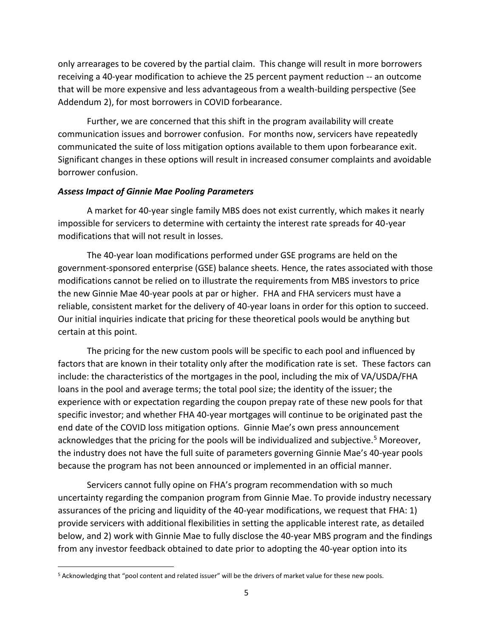only arrearages to be covered by the partial claim. This change will result in more borrowers receiving a 40-year modification to achieve the 25 percent payment reduction -- an outcome that will be more expensive and less advantageous from a wealth-building perspective (See Addendum 2), for most borrowers in COVID forbearance.

Further, we are concerned that this shift in the program availability will create communication issues and borrower confusion. For months now, servicers have repeatedly communicated the suite of loss mitigation options available to them upon forbearance exit. Significant changes in these options will result in increased consumer complaints and avoidable borrower confusion.

### *Assess Impact of Ginnie Mae Pooling Parameters*

A market for 40-year single family MBS does not exist currently, which makes it nearly impossible for servicers to determine with certainty the interest rate spreads for 40-year modifications that will not result in losses.

The 40-year loan modifications performed under GSE programs are held on the government-sponsored enterprise (GSE) balance sheets. Hence, the rates associated with those modifications cannot be relied on to illustrate the requirements from MBS investors to price the new Ginnie Mae 40-year pools at par or higher. FHA and FHA servicers must have a reliable, consistent market for the delivery of 40-year loans in order for this option to succeed. Our initial inquiries indicate that pricing for these theoretical pools would be anything but certain at this point.

The pricing for the new custom pools will be specific to each pool and influenced by factors that are known in their totality only after the modification rate is set. These factors can include: the characteristics of the mortgages in the pool, including the mix of VA/USDA/FHA loans in the pool and average terms; the total pool size; the identity of the issuer; the experience with or expectation regarding the coupon prepay rate of these new pools for that specific investor; and whether FHA 40-year mortgages will continue to be originated past the end date of the COVID loss mitigation options. Ginnie Mae's own press announcement acknowledges that the pricing for the pools will be individualized and subjective.<sup>5</sup> Moreover, the industry does not have the full suite of parameters governing Ginnie Mae's 40-year pools because the program has not been announced or implemented in an official manner.

Servicers cannot fully opine on FHA's program recommendation with so much uncertainty regarding the companion program from Ginnie Mae. To provide industry necessary assurances of the pricing and liquidity of the 40-year modifications, we request that FHA: 1) provide servicers with additional flexibilities in setting the applicable interest rate, as detailed below, and 2) work with Ginnie Mae to fully disclose the 40-year MBS program and the findings from any investor feedback obtained to date prior to adopting the 40-year option into its

<sup>5</sup> Acknowledging that "pool content and related issuer" will be the drivers of market value for these new pools.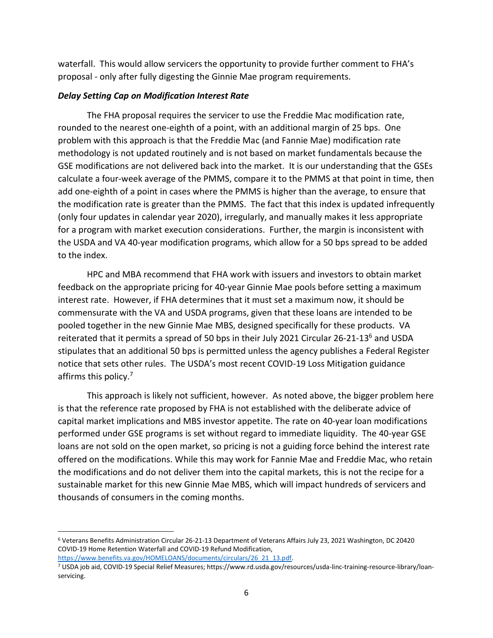waterfall. This would allow servicers the opportunity to provide further comment to FHA's proposal - only after fully digesting the Ginnie Mae program requirements.

## *Delay Setting Cap on Modification Interest Rate*

The FHA proposal requires the servicer to use the Freddie Mac modification rate, rounded to the nearest one-eighth of a point, with an additional margin of 25 bps. One problem with this approach is that the Freddie Mac (and Fannie Mae) modification rate methodology is not updated routinely and is not based on market fundamentals because the GSE modifications are not delivered back into the market. It is our understanding that the GSEs calculate a four-week average of the PMMS, compare it to the PMMS at that point in time, then add one-eighth of a point in cases where the PMMS is higher than the average, to ensure that the modification rate is greater than the PMMS. The fact that this index is updated infrequently (only four updates in calendar year 2020), irregularly, and manually makes it less appropriate for a program with market execution considerations. Further, the margin is inconsistent with the USDA and VA 40-year modification programs, which allow for a 50 bps spread to be added to the index.

HPC and MBA recommend that FHA work with issuers and investors to obtain market feedback on the appropriate pricing for 40-year Ginnie Mae pools before setting a maximum interest rate. However, if FHA determines that it must set a maximum now, it should be commensurate with the VA and USDA programs, given that these loans are intended to be pooled together in the new Ginnie Mae MBS, designed specifically for these products. VA reiterated that it permits a spread of 50 bps in their July 2021 Circular 26-21-13<sup>6</sup> and USDA stipulates that an additional 50 bps is permitted unless the agency publishes a Federal Register notice that sets other rules. The USDA's most recent COVID-19 Loss Mitigation guidance affirms this policy.<sup>7</sup>

This approach is likely not sufficient, however. As noted above, the bigger problem here is that the reference rate proposed by FHA is not established with the deliberate advice of capital market implications and MBS investor appetite. The rate on 40-year loan modifications performed under GSE programs is set without regard to immediate liquidity. The 40-year GSE loans are not sold on the open market, so pricing is not a guiding force behind the interest rate offered on the modifications. While this may work for Fannie Mae and Freddie Mac, who retain the modifications and do not deliver them into the capital markets, this is not the recipe for a sustainable market for this new Ginnie Mae MBS, which will impact hundreds of servicers and thousands of consumers in the coming months.

<sup>6</sup> Veterans Benefits Administration Circular 26-21-13 Department of Veterans Affairs July 23, 2021 Washington, DC 20420 COVID-19 Home Retention Waterfall and COVID-19 Refund Modification,

[https://www.benefits.va.gov/HOMELOANS/documents/circulars/26\\_21\\_13.pdf.](https://www.benefits.va.gov/HOMELOANS/documents/circulars/26_21_13.pdf)

<sup>7</sup> USDA job aid, COVID-19 Special Relief Measures; https://www.rd.usda.gov/resources/usda-linc-training-resource-library/loanservicing.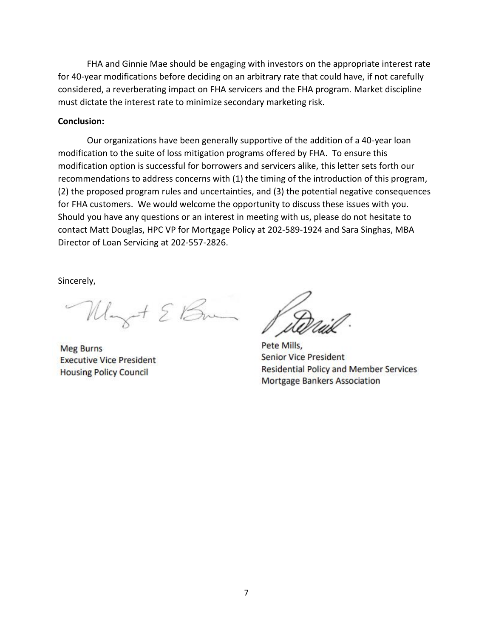FHA and Ginnie Mae should be engaging with investors on the appropriate interest rate for 40-year modifications before deciding on an arbitrary rate that could have, if not carefully considered, a reverberating impact on FHA servicers and the FHA program. Market discipline must dictate the interest rate to minimize secondary marketing risk.

#### **Conclusion:**

Our organizations have been generally supportive of the addition of a 40-year loan modification to the suite of loss mitigation programs offered by FHA. To ensure this modification option is successful for borrowers and servicers alike, this letter sets forth our recommendations to address concerns with (1) the timing of the introduction of this program, (2) the proposed program rules and uncertainties, and (3) the potential negative consequences for FHA customers. We would welcome the opportunity to discuss these issues with you. Should you have any questions or an interest in meeting with us, please do not hesitate to contact Matt Douglas, HPC VP for Mortgage Policy at 202-589-1924 and Sara Singhas, MBA Director of Loan Servicing at 202-557-2826.

Sincerely,

Mayot & Bran

**Meg Burns Executive Vice President Housing Policy Council** 

Pete Mills, **Senior Vice President Residential Policy and Member Services Mortgage Bankers Association**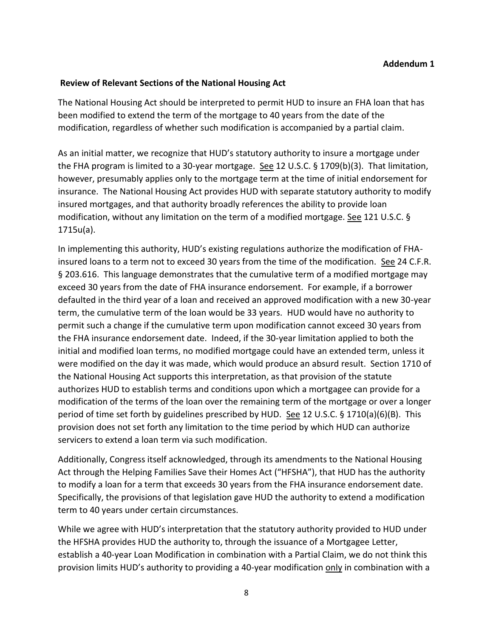# **Review of Relevant Sections of the National Housing Act**

The National Housing Act should be interpreted to permit HUD to insure an FHA loan that has been modified to extend the term of the mortgage to 40 years from the date of the modification, regardless of whether such modification is accompanied by a partial claim.

As an initial matter, we recognize that HUD's statutory authority to insure a mortgage under the FHA program is limited to a 30-year mortgage. See 12 U.S.C.  $\S$  1709(b)(3). That limitation, however, presumably applies only to the mortgage term at the time of initial endorsement for insurance. The National Housing Act provides HUD with separate statutory authority to modify insured mortgages, and that authority broadly references the ability to provide loan modification, without any limitation on the term of a modified mortgage. See 121 U.S.C. § 1715u(a).

In implementing this authority, HUD's existing regulations authorize the modification of FHAinsured loans to a term not to exceed 30 years from the time of the modification. See 24 C.F.R. § 203.616. This language demonstrates that the cumulative term of a modified mortgage may exceed 30 years from the date of FHA insurance endorsement. For example, if a borrower defaulted in the third year of a loan and received an approved modification with a new 30-year term, the cumulative term of the loan would be 33 years. HUD would have no authority to permit such a change if the cumulative term upon modification cannot exceed 30 years from the FHA insurance endorsement date. Indeed, if the 30-year limitation applied to both the initial and modified loan terms, no modified mortgage could have an extended term, unless it were modified on the day it was made, which would produce an absurd result. Section 1710 of the National Housing Act supports this interpretation, as that provision of the statute authorizes HUD to establish terms and conditions upon which a mortgagee can provide for a modification of the terms of the loan over the remaining term of the mortgage or over a longer period of time set forth by guidelines prescribed by HUD. See 12 U.S.C. § 1710(a)(6)(B). This provision does not set forth any limitation to the time period by which HUD can authorize servicers to extend a loan term via such modification.

Additionally, Congress itself acknowledged, through its amendments to the National Housing Act through the Helping Families Save their Homes Act ("HFSHA"), that HUD has the authority to modify a loan for a term that exceeds 30 years from the FHA insurance endorsement date. Specifically, the provisions of that legislation gave HUD the authority to extend a modification term to 40 years under certain circumstances.

While we agree with HUD's interpretation that the statutory authority provided to HUD under the HFSHA provides HUD the authority to, through the issuance of a Mortgagee Letter, establish a 40-year Loan Modification in combination with a Partial Claim, we do not think this provision limits HUD's authority to providing a 40-year modification only in combination with a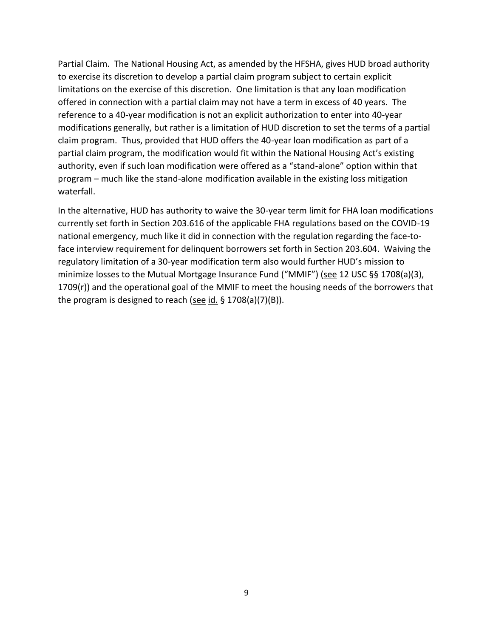Partial Claim. The National Housing Act, as amended by the HFSHA, gives HUD broad authority to exercise its discretion to develop a partial claim program subject to certain explicit limitations on the exercise of this discretion. One limitation is that any loan modification offered in connection with a partial claim may not have a term in excess of 40 years. The reference to a 40-year modification is not an explicit authorization to enter into 40-year modifications generally, but rather is a limitation of HUD discretion to set the terms of a partial claim program. Thus, provided that HUD offers the 40-year loan modification as part of a partial claim program, the modification would fit within the National Housing Act's existing authority, even if such loan modification were offered as a "stand-alone" option within that program – much like the stand-alone modification available in the existing loss mitigation waterfall.

In the alternative, HUD has authority to waive the 30-year term limit for FHA loan modifications currently set forth in Section 203.616 of the applicable FHA regulations based on the COVID-19 national emergency, much like it did in connection with the regulation regarding the face-toface interview requirement for delinquent borrowers set forth in Section 203.604. Waiving the regulatory limitation of a 30-year modification term also would further HUD's mission to minimize losses to the Mutual Mortgage Insurance Fund ("MMIF") (see 12 USC §§ 1708(a)(3), 1709(r)) and the operational goal of the MMIF to meet the housing needs of the borrowers that the program is designed to reach (see id. § 1708(a)(7)(B)).